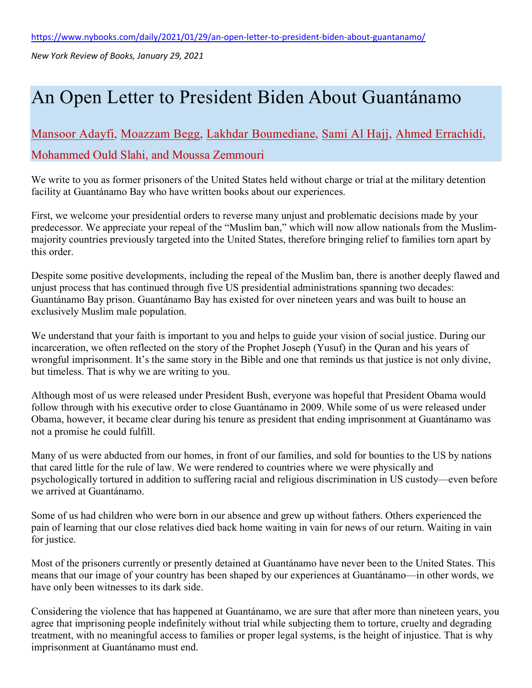*New York Review of Books, January 29, 2021*

## An Open Letter to President Biden About Guantánamo

## [Mansoor Adayfi,](https://www.nybooks.com/contributors/mansoor-adayf/) [Moazzam Begg,](https://www.nybooks.com/contributors/moazzam-begg/) [Lakhdar Boumediane,](https://www.nybooks.com/contributors/lakhdar-boumediane/) [Sami Al Hajj,](https://www.nybooks.com/contributors/sami-al-hajj/) [Ahmed Errachidi,](https://www.nybooks.com/contributors/ahmed-errachidi/) Mohammed Ould Slahi, and Moussa Zemmouri

We write to you as former prisoners of the United States held without charge or trial at the military detention facility at Guantánamo Bay who have written books about our experiences.

First, we welcome your presidential orders to reverse many unjust and problematic decisions made by your predecessor. We appreciate your repeal of the "Muslim ban," which will now allow nationals from the Muslimmajority countries previously targeted into the United States, therefore bringing relief to families torn apart by this order.

Despite some positive developments, including the repeal of the Muslim ban, there is another deeply flawed and unjust process that has continued through five US presidential administrations spanning two decades: Guantánamo Bay prison. Guantánamo Bay has existed for over nineteen years and was built to house an exclusively Muslim male population.

We understand that your faith is important to you and helps to guide your vision of social justice. During our incarceration, we often reflected on the story of the Prophet Joseph (Yusuf) in the Quran and his years of wrongful imprisonment. It's the same story in the Bible and one that reminds us that justice is not only divine, but timeless. That is why we are writing to you.

Although most of us were released under President Bush, everyone was hopeful that President Obama would follow through with his executive order to close Guantánamo in 2009. While some of us were released under Obama, however, it became clear during his tenure as president that ending imprisonment at Guantánamo was not a promise he could fulfill.

Many of us were abducted from our homes, in front of our families, and sold for bounties to the US by nations that cared little for the rule of law. We were rendered to countries where we were physically and psychologically tortured in addition to suffering racial and religious discrimination in US custody—even before we arrived at Guantánamo.

Some of us had children who were born in our absence and grew up without fathers. Others experienced the pain of learning that our close relatives died back home waiting in vain for news of our return. Waiting in vain for justice.

Most of the prisoners currently or presently detained at Guantánamo have never been to the United States. This means that our image of your country has been shaped by our experiences at Guantánamo—in other words, we have only been witnesses to its dark side.

Considering the violence that has happened at Guantánamo, we are sure that after more than nineteen years, you agree that imprisoning people indefinitely without trial while subjecting them to torture, cruelty and degrading treatment, with no meaningful access to families or proper legal systems, is the height of injustice. That is why imprisonment at Guantánamo must end.